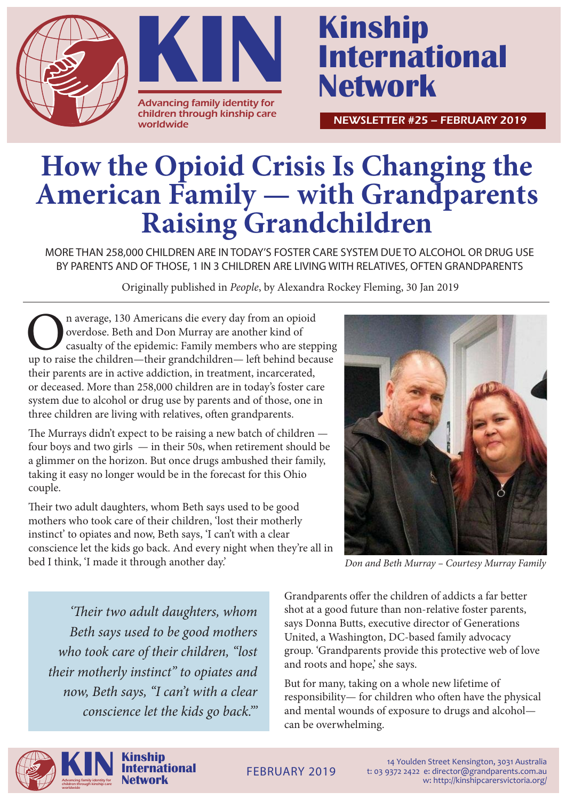



## **International Network**

NEWSLETTER #25 – FEBRUARY 2019

## **How the Opioid Crisis Is Changing the American Family — with Grandparents Raising Grandchildren**

MORE THAN 258,000 CHILDREN ARE IN TODAY'S FOSTER CARE SYSTEM DUE TO ALCOHOL OR DRUG USE BY PARENTS AND OF THOSE, 1 IN 3 CHILDREN ARE LIVING WITH RELATIVES, OFTEN GRANDPARENTS

Originally published in *People*, by Alexandra Rockey Fleming, 30 Jan 2019

On average, 130 Americans die every day from an opioid overdose. Beth and Don Murray are another kind of casualty of the epidemic: Family members who are stepping up to raise the children—their grandchildren— left behind b overdose. Beth and Don Murray are another kind of casualty of the epidemic: Family members who are stepping their parents are in active addiction, in treatment, incarcerated, or deceased. More than 258,000 children are in today's foster care system due to alcohol or drug use by parents and of those, one in three children are living with relatives, often grandparents.

The Murrays didn't expect to be raising a new batch of children four boys and two girls — in their 50s, when retirement should be a glimmer on the horizon. But once drugs ambushed their family, taking it easy no longer would be in the forecast for this Ohio couple.

Their two adult daughters, whom Beth says used to be good mothers who took care of their children, 'lost their motherly instinct' to opiates and now, Beth says, 'I can't with a clear conscience let the kids go back. And every night when they're all in bed I think, 'I made it through another day.'



*Don and Beth Murray – Courtesy Murray Family*

*'Their two adult daughters, whom Beth says used to be good mothers who took care of their children, "lost their motherly instinct" to opiates and now, Beth says, "I can't with a clear conscience let the kids go back."'*  Grandparents offer the children of addicts a far better shot at a good future than non-relative foster parents, says Donna Butts, executive director of Generations United, a Washington, DC-based family advocacy group. 'Grandparents provide this protective web of love and roots and hope,' she says.

But for many, taking on a whole new lifetime of responsibility— for children who often have the physical and mental wounds of exposure to drugs and alcohol can be overwhelming.



14 Youlden Street Kensington, 3031 Australia t: 03 9372 2422 e: director@grandparents.com.au w: http://kinshipcarersvictoria.org/